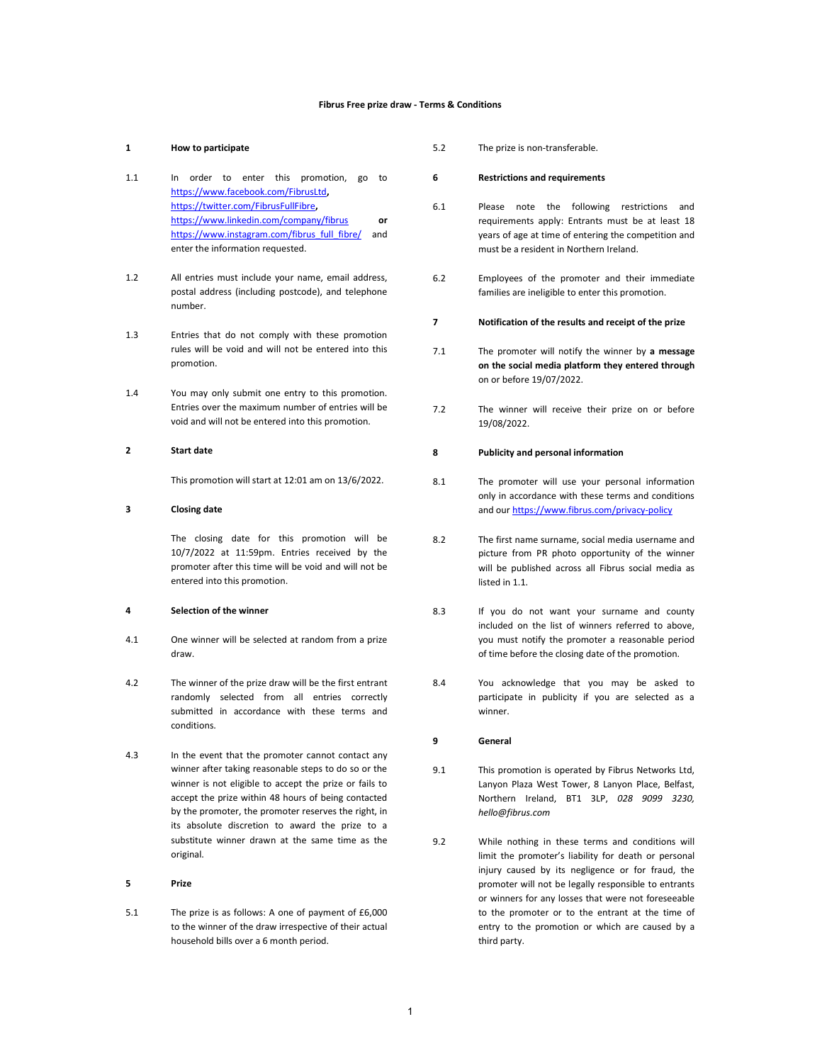#### Fibrus Free prize draw - Terms & Conditions

# 1 How to participate

- 1.1 In order to enter this promotion, go to https://www.facebook.com/FibrusLtd, https://twitter.com/FibrusFullFibre, https://www.linkedin.com/company/fibrus or https://www.instagram.com/fibrus\_full\_fibre/ and enter the information requested.
- 1.2 All entries must include your name, email address, postal address (including postcode), and telephone number.
- 1.3 Entries that do not comply with these promotion rules will be void and will not be entered into this promotion.
- 1.4 You may only submit one entry to this promotion. Entries over the maximum number of entries will be void and will not be entered into this promotion.

# 2 Start date

This promotion will start at 12:01 am on 13/6/2022.

# 3 Closing date

The closing date for this promotion will be 10/7/2022 at 11:59pm. Entries received by the promoter after this time will be void and will not be entered into this promotion.

### 4 Selection of the winner

- 4.1 One winner will be selected at random from a prize draw.
- 4.2 The winner of the prize draw will be the first entrant randomly selected from all entries correctly submitted in accordance with these terms and conditions.
- 4.3 In the event that the promoter cannot contact any winner after taking reasonable steps to do so or the winner is not eligible to accept the prize or fails to accept the prize within 48 hours of being contacted by the promoter, the promoter reserves the right, in its absolute discretion to award the prize to a substitute winner drawn at the same time as the original.

# 5 Prize

5.1 The prize is as follows: A one of payment of £6,000 to the winner of the draw irrespective of their actual household bills over a 6 month period.

5.2 The prize is non-transferable.

#### 6 Restrictions and requirements

- 6.1 Please note the following restrictions and requirements apply: Entrants must be at least 18 years of age at time of entering the competition and must be a resident in Northern Ireland.
- 6.2 Employees of the promoter and their immediate families are ineligible to enter this promotion.
- 7 Notification of the results and receipt of the prize
- 7.1 The promoter will notify the winner by a message on the social media platform they entered through on or before 19/07/2022.
- 7.2 The winner will receive their prize on or before 19/08/2022.

#### 8 Publicity and personal information

- 8.1 The promoter will use your personal information only in accordance with these terms and conditions and our https://www.fibrus.com/privacy-policy
- 8.2 The first name surname, social media username and picture from PR photo opportunity of the winner will be published across all Fibrus social media as listed in 1.1.
- 8.3 If you do not want your surname and county included on the list of winners referred to above, you must notify the promoter a reasonable period of time before the closing date of the promotion.
- 8.4 You acknowledge that you may be asked to participate in publicity if you are selected as a winner.

# 9 General

- 9.1 This promotion is operated by Fibrus Networks Ltd, Lanyon Plaza West Tower, 8 Lanyon Place, Belfast, Northern Ireland, BT1 3LP, 028 9099 3230, hello@fibrus.com
- 9.2 While nothing in these terms and conditions will limit the promoter's liability for death or personal injury caused by its negligence or for fraud, the promoter will not be legally responsible to entrants or winners for any losses that were not foreseeable to the promoter or to the entrant at the time of entry to the promotion or which are caused by a third party.